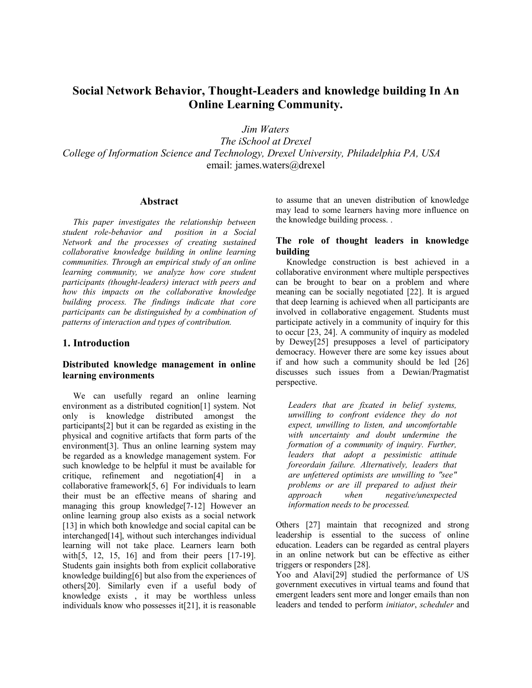# **Social Network Behavior, Thought-Leaders and knowledge building In An Online Learning Community.**

*Jim Waters* 

*The iSchool at Drexel College of Information Science and Technology, Drexel University, Philadelphia PA, USA*  email: james.waters@drexel

#### **Abstract**

*This paper investigates the relationship between student role-behavior and position in a Social Network and the processes of creating sustained collaborative knowledge building in online learning communities. Through an empirical study of an online learning community, we analyze how core student participants (thought-leaders) interact with peers and how this impacts on the collaborative knowledge building process. The findings indicate that core participants can be distinguished by a combination of patterns of interaction and types of contribution.* 

## **1. Introduction**

### **Distributed knowledge management in online learning environments**

We can usefully regard an online learning environment as a distributed cognition[1] system. Not only is knowledge distributed amongst the participants[2] but it can be regarded as existing in the physical and cognitive artifacts that form parts of the environment[3]. Thus an online learning system may be regarded as a knowledge management system. For such knowledge to be helpful it must be available for critique, refinement and negotiation[4] in a collaborative framework[5, 6] For individuals to learn their must be an effective means of sharing and managing this group knowledge[7-12] However an online learning group also exists as a social network [13] in which both knowledge and social capital can be interchanged[14], without such interchanges individual learning will not take place. Learners learn both with[5, 12, 15, 16] and from their peers [17-19]. Students gain insights both from explicit collaborative knowledge building[6] but also from the experiences of others[20]. Similarly even if a useful body of knowledge exists , it may be worthless unless individuals know who possesses it[21], it is reasonable

to assume that an uneven distribution of knowledge may lead to some learners having more influence on the knowledge building process. .

### **The role of thought leaders in knowledge building**

Knowledge construction is best achieved in a collaborative environment where multiple perspectives can be brought to bear on a problem and where meaning can be socially negotiated [22]. It is argued that deep learning is achieved when all participants are involved in collaborative engagement. Students must participate actively in a community of inquiry for this to occur [23, 24]. A community of inquiry as modeled by Dewey[25] presupposes a level of participatory democracy. However there are some key issues about if and how such a community should be led [26] discusses such issues from a Dewian/Pragmatist perspective.

*Leaders that are fixated in belief systems, unwilling to confront evidence they do not expect, unwilling to listen, and uncomfortable with uncertainty and doubt undermine the formation of a community of inquiry. Further, leaders that adopt a pessimistic attitude foreordain failure. Alternatively, leaders that are unfettered optimists are unwilling to "see" problems or are ill prepared to adjust their approach when negative/unexpected information needs to be processed.* 

Others [27] maintain that recognized and strong leadership is essential to the success of online education. Leaders can be regarded as central players in an online network but can be effective as either triggers or responders [28].

Yoo and Alavi[29] studied the performance of US government executives in virtual teams and found that emergent leaders sent more and longer emails than non leaders and tended to perform *initiator*, *scheduler* and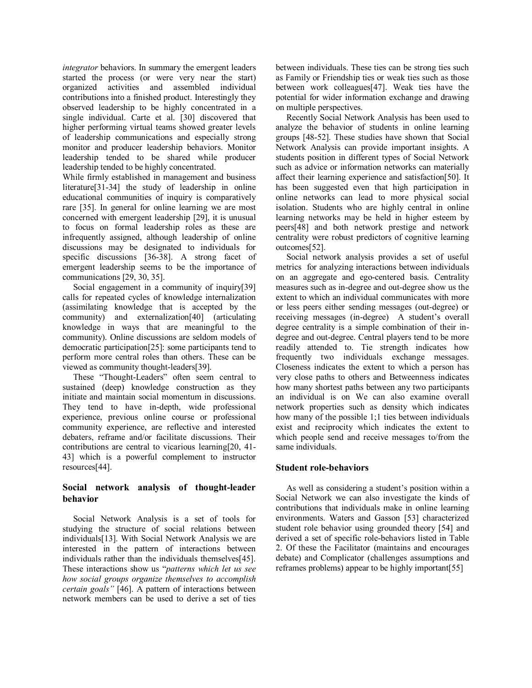*integrator* behaviors. In summary the emergent leaders started the process (or were very near the start) organized activities and assembled individual contributions into a finished product. Interestingly they observed leadership to be highly concentrated in a single individual. Carte et al. [30] discovered that higher performing virtual teams showed greater levels of leadership communications and especially strong monitor and producer leadership behaviors. Monitor leadership tended to be shared while producer leadership tended to be highly concentrated.

While firmly established in management and business literature[31-34] the study of leadership in online educational communities of inquiry is comparatively rare [35]. In general for online learning we are most concerned with emergent leadership [29], it is unusual to focus on formal leadership roles as these are infrequently assigned, although leadership of online discussions may be designated to individuals for specific discussions [36-38]. A strong facet of emergent leadership seems to be the importance of communications [29, 30, 35].

Social engagement in a community of inquiry[39] calls for repeated cycles of knowledge internalization (assimilating knowledge that is accepted by the community) and externalization[40] (articulating knowledge in ways that are meaningful to the community). Online discussions are seldom models of democratic participation[25]: some participants tend to perform more central roles than others. These can be viewed as community thought-leaders[39].

These "Thought-Leaders" often seem central to sustained (deep) knowledge construction as they initiate and maintain social momentum in discussions. They tend to have in-depth, wide professional experience, previous online course or professional community experience, are reflective and interested debaters, reframe and/or facilitate discussions. Their contributions are central to vicarious learning[20, 41- 43] which is a powerful complement to instructor resources[44].

### **Social network analysis of thought-leader behavior**

Social Network Analysis is a set of tools for studying the structure of social relations between individuals[13]. With Social Network Analysis we are interested in the pattern of interactions between individuals rather than the individuals themselves[45]. These interactions show us "*patterns which let us see how social groups organize themselves to accomplish certain goals"* [46]. A pattern of interactions between network members can be used to derive a set of ties between individuals. These ties can be strong ties such as Family or Friendship ties or weak ties such as those between work colleagues[47]. Weak ties have the potential for wider information exchange and drawing on multiple perspectives.

Recently Social Network Analysis has been used to analyze the behavior of students in online learning groups [48-52]. These studies have shown that Social Network Analysis can provide important insights. A students position in different types of Social Network such as advice or information networks can materially affect their learning experience and satisfaction[50]. It has been suggested even that high participation in online networks can lead to more physical social isolation. Students who are highly central in online learning networks may be held in higher esteem by peers[48] and both network prestige and network centrality were robust predictors of cognitive learning outcomes[52].

Social network analysis provides a set of useful metrics for analyzing interactions between individuals on an aggregate and ego-centered basis. Centrality measures such as in-degree and out-degree show us the extent to which an individual communicates with more or less peers either sending messages (out-degree) or receiving messages (in-degree) A student's overall degree centrality is a simple combination of their indegree and out-degree. Central players tend to be more readily attended to. Tie strength indicates how frequently two individuals exchange messages. Closeness indicates the extent to which a person has very close paths to others and Betweenness indicates how many shortest paths between any two participants an individual is on We can also examine overall network properties such as density which indicates how many of the possible 1;1 ties between individuals exist and reciprocity which indicates the extent to which people send and receive messages to/from the same individuals.

# **Student role-behaviors**

As well as considering a student's position within a Social Network we can also investigate the kinds of contributions that individuals make in online learning environments. Waters and Gasson [53] characterized student role behavior using grounded theory [54] and derived a set of specific role-behaviors listed in Table 2. Of these the Facilitator (maintains and encourages debate) and Complicator (challenges assumptions and reframes problems) appear to be highly important[55]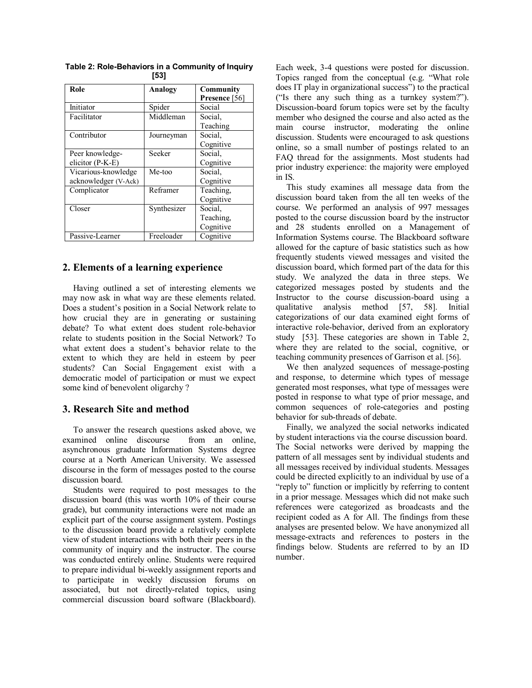| Role                 | Analogy     | Community<br>Presence [56] |
|----------------------|-------------|----------------------------|
| Initiator            | Spider      | Social                     |
| Facilitator          | Middleman   | Social.                    |
|                      |             | Teaching                   |
| Contributor          | Journeyman  | Social.                    |
|                      |             | Cognitive                  |
| Peer knowledge-      | Seeker      | Social.                    |
| elicitor (P-K-E)     |             | Cognitive                  |
| Vicarious-knowledge  | Me-too      | Social.                    |
| acknowledger (V-Ack) |             | Cognitive                  |
| Complicator          | Reframer    | Teaching.                  |
|                      |             | Cognitive                  |
| Closer               | Synthesizer | Social,                    |
|                      |             | Teaching.                  |
|                      |             | Cognitive                  |
| Passive-Learner      | Freeloader  | Cognitive                  |

**Table 2: Role-Behaviors in a Community of Inquiry [53]** 

### **2. Elements of a learning experience**

Having outlined a set of interesting elements we may now ask in what way are these elements related. Does a student's position in a Social Network relate to how crucial they are in generating or sustaining debate? To what extent does student role-behavior relate to students position in the Social Network? To what extent does a student's behavior relate to the extent to which they are held in esteem by peer students? Can Social Engagement exist with a democratic model of participation or must we expect some kind of benevolent oligarchy ?

### **3. Research Site and method**

To answer the research questions asked above, we examined online discourse from an online, asynchronous graduate Information Systems degree course at a North American University. We assessed discourse in the form of messages posted to the course discussion board.

Students were required to post messages to the discussion board (this was worth 10% of their course grade), but community interactions were not made an explicit part of the course assignment system. Postings to the discussion board provide a relatively complete view of student interactions with both their peers in the community of inquiry and the instructor. The course was conducted entirely online. Students were required to prepare individual bi-weekly assignment reports and to participate in weekly discussion forums on associated, but not directly-related topics, using commercial discussion board software (Blackboard).

Each week, 3-4 questions were posted for discussion. Topics ranged from the conceptual (e.g. "What role does IT play in organizational success") to the practical ("Is there any such thing as a turnkey system?"). Discussion-board forum topics were set by the faculty member who designed the course and also acted as the main course instructor, moderating the online discussion. Students were encouraged to ask questions online, so a small number of postings related to an FAQ thread for the assignments. Most students had prior industry experience: the majority were employed in IS.

This study examines all message data from the discussion board taken from the all ten weeks of the course. We performed an analysis of 997 messages posted to the course discussion board by the instructor and 28 students enrolled on a Management of Information Systems course. The Blackboard software allowed for the capture of basic statistics such as how frequently students viewed messages and visited the discussion board, which formed part of the data for this study. We analyzed the data in three steps. We categorized messages posted by students and the Instructor to the course discussion-board using a qualitative analysis method [57, 58]. Initial categorizations of our data examined eight forms of interactive role-behavior, derived from an exploratory study [53]. These categories are shown in Table 2, where they are related to the social, cognitive, or teaching community presences of Garrison et al. [56].

We then analyzed sequences of message-posting and response, to determine which types of message generated most responses, what type of messages were posted in response to what type of prior message, and common sequences of role-categories and posting behavior for sub-threads of debate.

Finally, we analyzed the social networks indicated by student interactions via the course discussion board. The Social networks were derived by mapping the pattern of all messages sent by individual students and all messages received by individual students. Messages could be directed explicitly to an individual by use of a "reply to" function or implicitly by referring to content in a prior message. Messages which did not make such references were categorized as broadcasts and the recipient coded as A for All. The findings from these analyses are presented below. We have anonymized all message-extracts and references to posters in the findings below. Students are referred to by an ID number.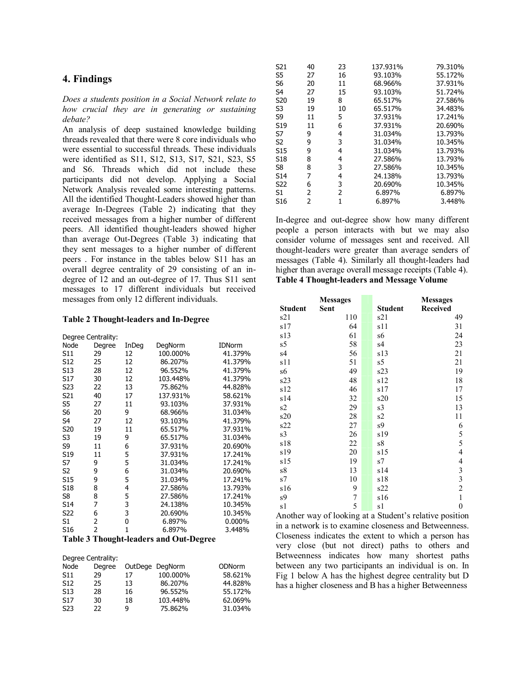# **4. Findings**

*Does a students position in a Social Network relate to how crucial they are in generating or sustaining debate?* 

An analysis of deep sustained knowledge building threads revealed that there were 8 core individuals who were essential to successful threads. These individuals were identified as S11, S12, S13, S17, S21, S23, S5 and S6. Threads which did not include these participants did not develop. Applying a Social Network Analysis revealed some interesting patterns. All the identified Thought-Leaders showed higher than average In-Degrees (Table 2) indicating that they received messages from a higher number of different peers. All identified thought-leaders showed higher than average Out-Degrees (Table 3) indicating that they sent messages to a higher number of different peers . For instance in the tables below S11 has an overall degree centrality of 29 consisting of an indegree of 12 and an out-degree of 17. Thus S11 sent messages to 17 different individuals but received messages from only 12 different individuals.

### **Table 2 Thought-leaders and In-Degree**

| Degree Centrality: |                |       |          |         |
|--------------------|----------------|-------|----------|---------|
| Node               | Degree         | InDeg | DegNorm  | IDNorm  |
| S11                | 29             | 12    | 100.000% | 41.379% |
| S12                | 25             | 12    | 86.207%  | 41.379% |
| S <sub>13</sub>    | 28             | 12    | 96.552%  | 41.379% |
| S <sub>17</sub>    | 30             | 12    | 103.448% | 41.379% |
| S23                | 22             | 13    | 75.862%  | 44.828% |
| S21                | 40             | 17    | 137.931% | 58.621% |
| S5                 | 27             | 11    | 93.103%  | 37.931% |
| S6                 | 20             | 9     | 68.966%  | 31.034% |
| S4                 | 27             | 12    | 93.103%  | 41.379% |
| S20                | 19             | 11    | 65.517%  | 37.931% |
| S3                 | 19             | 9     | 65.517%  | 31.034% |
| S9                 | 11             | 6     | 37.931%  | 20.690% |
| S <sub>19</sub>    | 11             | 5     | 37.931%  | 17.241% |
| S7                 | 9              | 5     | 31.034%  | 17.241% |
| S <sub>2</sub>     | 9              | 6     | 31.034%  | 20.690% |
| S <sub>15</sub>    | 9              | 5     | 31.034%  | 17.241% |
| S <sub>18</sub>    | 8              | 4     | 27.586%  | 13.793% |
| S8                 | 8              | 5     | 27.586%  | 17.241% |
| S14                | 7              | 3     | 24.138%  | 10.345% |
| S22                | 6              | 3     | 20.690%  | 10.345% |
| S1                 | 2              | 0     | 6.897%   | 0.000%  |
| S16                | $\overline{2}$ | 1     | 6.897%   | 3.448%  |

**Table 3 Thought-leaders and Out-Degree** 

| Degree Centrality: |        |                 |          |               |
|--------------------|--------|-----------------|----------|---------------|
| Node               | Degree | OutDege DegNorm |          | <b>ODNorm</b> |
| S <sub>11</sub>    | 29     | 17              | 100.000% | 58.621%       |
| S <sub>12</sub>    | 25     | 13              | 86.207%  | 44.828%       |
| S <sub>13</sub>    | 28     | 16              | 96.552%  | 55.172%       |
| S <sub>17</sub>    | 30     | 18              | 103.448% | 62.069%       |
| S <sub>23</sub>    | 22     | q               | 75.862%  | 31.034%       |

| 40 | 23 | 137.931% | 79.310% |
|----|----|----------|---------|
| 27 | 16 | 93.103%  | 55.172% |
| 20 | 11 | 68.966%  | 37.931% |
| 27 | 15 | 93.103%  | 51.724% |
| 19 | 8  | 65.517%  | 27.586% |
| 19 | 10 | 65.517%  | 34.483% |
| 11 | 5  | 37.931%  | 17.241% |
| 11 | 6  | 37.931%  | 20.690% |
| 9  | 4  | 31.034%  | 13.793% |
| 9  | 3  | 31.034%  | 10.345% |
| 9  | 4  | 31.034%  | 13.793% |
| 8  | 4  | 27.586%  | 13.793% |
| 8  | 3  | 27.586%  | 10.345% |
| 7  | 4  | 24.138%  | 13.793% |
| 6  | 3  | 20.690%  | 10.345% |
| 2  | 2  | 6.897%   | 6.897%  |
| 2  |    | 6.897%   | 3.448%  |
|    |    |          |         |

In-degree and out-degree show how many different people a person interacts with but we may also consider volume of messages sent and received. All thought-leaders were greater than average senders of messages (Table 4). Similarly all thought-leaders had higher than average overall message receipts (Table 4). **Table 4 Thought-leaders and Message Volume** 

|                | <b>Messages</b> |                | <b>Messages</b>  |
|----------------|-----------------|----------------|------------------|
| <b>Student</b> | Sent            | <b>Student</b> | Received         |
| s21            | 110             | s21            | 49               |
| s17            | 64              | s11            | 31               |
| s13            | 61              | s6             | 24               |
| s5             | 58              | s4             | 23               |
| s4             | 56              | s13            | 21               |
| s11            | 51              | s5             | 21               |
| s6             | 49              | s23            | 19               |
| s23            | 48              | s12            | 18               |
| s12            | 46              | s17            | 17               |
| s14            | 32              | s20            | 15               |
| s2             | 29              | s3             | 13               |
| s20            | 28              | s2             | 11               |
| s22            | 27              | s9             | 6                |
| s3             | 26              | s19            | 5                |
| s18            | 22              | s8             | 5                |
| s19            | 20              | s15            | $\overline{4}$   |
| s15            | 19              | s7             | 4                |
| s8             | 13              | s14            | 3                |
| s7             | 10              | s18            | 3                |
| s16            | 9               | s22            | $\overline{c}$   |
| s9             | $\overline{7}$  | s16            | $\mathbf{1}$     |
| s1             | 5               | s1             | $\boldsymbol{0}$ |

Another way of looking at a Student's relative position in a network is to examine closeness and Betweenness. Closeness indicates the extent to which a person has very close (but not direct) paths to others and Betweenness indicates how many shortest paths between any two participants an individual is on. In Fig 1 below A has the highest degree centrality but D has a higher closeness and B has a higher Betweenness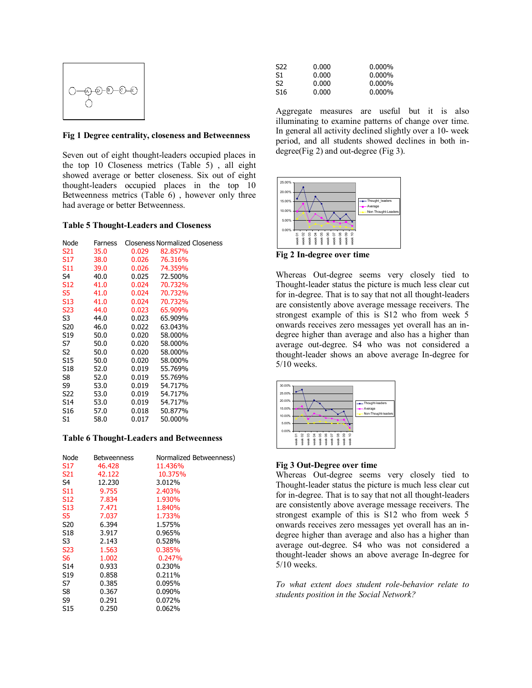

#### **Fig 1 Degree centrality, closeness and Betweenness**

Seven out of eight thought-leaders occupied places in the top 10 Closeness metrics (Table 5) , all eight showed average or better closeness. Six out of eight thought-leaders occupied places in the top 10 Betweenness metrics (Table 6) , however only three had average or better Betweenness.

#### **Table 5 Thought-Leaders and Closeness**

| Node            | Farness |       | <b>Closeness Normalized Closeness</b> |
|-----------------|---------|-------|---------------------------------------|
| S21             | 35.0    | 0.029 | 82.857%                               |
| S17             | 38.0    | 0.026 | 76.316%                               |
| S11             | 39.0    | 0.026 | 74.359%                               |
| S4              | 40.0    | 0.025 | 72.500%                               |
| S12             | 41.0    | 0.024 | 70.732%                               |
| S5              | 41.0    | 0.024 | 70.732%                               |
| S13             | 41.0    | 0.024 | 70.732%                               |
| S23             | 44.0    | 0.023 | 65.909%                               |
| S3              | 44.0    | 0.023 | 65.909%                               |
| S <sub>20</sub> | 46.0    | 0.022 | 63.043%                               |
| S19             | 50.0    | 0.020 | 58.000%                               |
| S7              | 50.0    | 0.020 | 58.000%                               |
| S2              | 50.0    | 0.020 | 58.000%                               |
| S15             | 50.0    | 0.020 | 58.000%                               |
| S18             | 52.0    | 0.019 | 55.769%                               |
| S8              | 52.0    | 0.019 | 55.769%                               |
| S9              | 53.0    | 0.019 | 54.717%                               |
| S22             | 53.0    | 0.019 | 54.717%                               |
| S14             | 53.0    | 0.019 | 54.717%                               |
| S <sub>16</sub> | 57.0    | 0.018 | 50.877%                               |
| S1              | 58.0    | 0.017 | 50.000%                               |

#### **Table 6 Thought-Leaders and Betweenness**

| Node            | Betweenness | Normalized Betweenness) |
|-----------------|-------------|-------------------------|
| S17             | 46.428      | 11.436%                 |
| S21             | 42.122      | 10.375%                 |
| S4              | 12.230      | 3.012%                  |
| S11             | 9.755       | 2.403%                  |
| S12             | 7.834       | 1.930%                  |
| S <sub>13</sub> | 7.471       | 1.840%                  |
| S5              | 7.037       | 1.733%                  |
| S <sub>20</sub> | 6.394       | 1.575%                  |
| S18             | 3.917       | 0.965%                  |
| S3              | 2.143       | 0.528%                  |
| S <sub>23</sub> | 1.563       | 0.385%                  |
| S6              | 1.002       | 0.247%                  |
| S14             | 0.933       | 0.230%                  |
| S19             | 0.858       | 0.211%                  |
| S7              | 0.385       | 0.095%                  |
| S8              | 0.367       | 0.090%                  |
| S9              | 0.291       | 0.072%                  |
| S15             | 0.250       | 0.062%                  |

| S22 | 0.000 | $0.000\%$ |
|-----|-------|-----------|
| S1. | 0.000 | $0.000\%$ |
| S2. | 0.000 | $0.000\%$ |
| S16 | 0.000 | $0.000\%$ |

Aggregate measures are useful but it is also illuminating to examine patterns of change over time. In general all activity declined slightly over a 10- week period, and all students showed declines in both indegree(Fig 2) and out-degree (Fig 3).



**Fig 2 In-degree over time** 

Whereas Out-degree seems very closely tied to Thought-leader status the picture is much less clear cut for in-degree. That is to say that not all thought-leaders are consistently above average message receivers. The strongest example of this is S12 who from week 5 onwards receives zero messages yet overall has an indegree higher than average and also has a higher than average out-degree. S4 who was not considered a thought-leader shows an above average In-degree for 5/10 weeks.



#### **Fig 3 Out-Degree over time**

Whereas Out-degree seems very closely tied to Thought-leader status the picture is much less clear cut for in-degree. That is to say that not all thought-leaders are consistently above average message receivers. The strongest example of this is S12 who from week 5 onwards receives zero messages yet overall has an indegree higher than average and also has a higher than average out-degree. S4 who was not considered a thought-leader shows an above average In-degree for 5/10 weeks.

*To what extent does student role-behavior relate to students position in the Social Network?*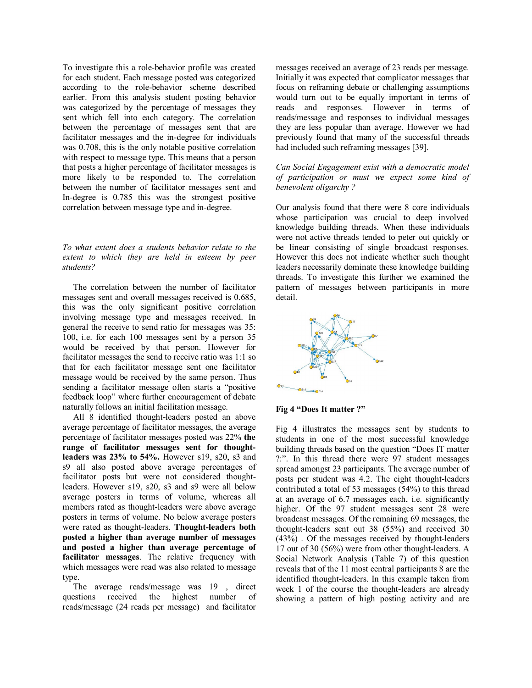To investigate this a role-behavior profile was created for each student. Each message posted was categorized according to the role-behavior scheme described earlier. From this analysis student posting behavior was categorized by the percentage of messages they sent which fell into each category. The correlation between the percentage of messages sent that are facilitator messages and the in-degree for individuals was 0.708, this is the only notable positive correlation with respect to message type. This means that a person that posts a higher percentage of facilitator messages is more likely to be responded to. The correlation between the number of facilitator messages sent and In-degree is 0.785 this was the strongest positive correlation between message type and in-degree.

#### *To what extent does a students behavior relate to the extent to which they are held in esteem by peer students?*

The correlation between the number of facilitator messages sent and overall messages received is 0.685, this was the only significant positive correlation involving message type and messages received. In general the receive to send ratio for messages was 35: 100, i.e. for each 100 messages sent by a person 35 would be received by that person. However for facilitator messages the send to receive ratio was 1:1 so that for each facilitator message sent one facilitator message would be received by the same person. Thus sending a facilitator message often starts a "positive feedback loop" where further encouragement of debate naturally follows an initial facilitation message.

All 8 identified thought-leaders posted an above average percentage of facilitator messages, the average percentage of facilitator messages posted was 22% **the range of facilitator messages sent for thoughtleaders was 23% to 54%.** However s19, s20, s3 and s9 all also posted above average percentages of facilitator posts but were not considered thoughtleaders. However s19, s20, s3 and s9 were all below average posters in terms of volume, whereas all members rated as thought-leaders were above average posters in terms of volume. No below average posters were rated as thought-leaders. **Thought-leaders both posted a higher than average number of messages and posted a higher than average percentage of facilitator messages**. The relative frequency with which messages were read was also related to message type.

The average reads/message was 19 , direct questions received the highest number of reads/message (24 reads per message) and facilitator messages received an average of 23 reads per message. Initially it was expected that complicator messages that focus on reframing debate or challenging assumptions would turn out to be equally important in terms of reads and responses. However in terms of reads/message and responses to individual messages they are less popular than average. However we had previously found that many of the successful threads had included such reframing messages [39].

### *Can Social Engagement exist with a democratic model of participation or must we expect some kind of benevolent oligarchy ?*

Our analysis found that there were 8 core individuals whose participation was crucial to deep involved knowledge building threads. When these individuals were not active threads tended to peter out quickly or be linear consisting of single broadcast responses. However this does not indicate whether such thought leaders necessarily dominate these knowledge building threads. To investigate this further we examined the pattern of messages between participants in more detail.



**Fig 4 "Does It matter ?"** 

Fig 4 illustrates the messages sent by students to students in one of the most successful knowledge building threads based on the question "Does IT matter ?:". In this thread there were 97 student messages spread amongst 23 participants. The average number of posts per student was 4.2. The eight thought-leaders contributed a total of 53 messages (54%) to this thread at an average of 6.7 messages each, i.e. significantly higher. Of the 97 student messages sent 28 were broadcast messages. Of the remaining 69 messages, the thought-leaders sent out 38 (55%) and received 30 (43%) . Of the messages received by thought-leaders 17 out of 30 (56%) were from other thought-leaders. A Social Network Analysis (Table 7) of this question reveals that of the 11 most central participants 8 are the identified thought-leaders. In this example taken from week 1 of the course the thought-leaders are already showing a pattern of high posting activity and are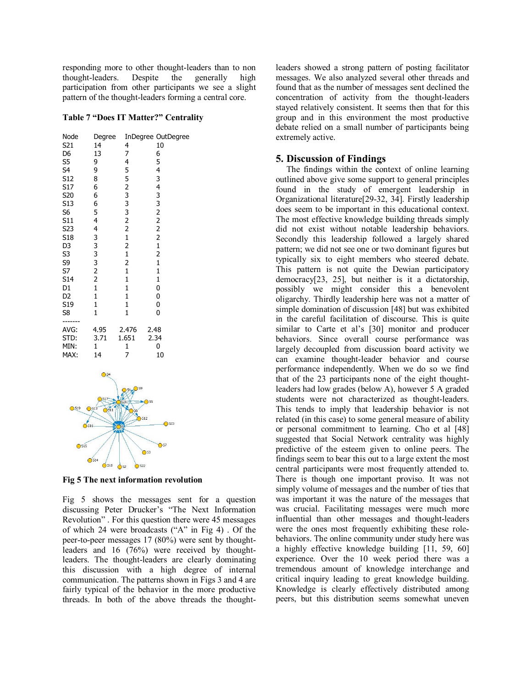responding more to other thought-leaders than to non thought-leaders. Despite the generally high participation from other participants we see a slight pattern of the thought-leaders forming a central core.

#### **Table 7 "Does IT Matter?" Centrality**

| Node            | Degree        |                         | InDegree OutDegree      |
|-----------------|---------------|-------------------------|-------------------------|
| S21             | 14            | 4                       | 10                      |
| D6              | 13            | 7                       | 6                       |
| S5              | 9             | 4                       | 5                       |
| S4              | 9             | 5                       | 4                       |
| S12             | 8             | 5                       | 3                       |
| S17             | 6             | $\frac{2}{3}$           | 4                       |
| S20             | 6             |                         | 3                       |
| S <sub>13</sub> | 6             | 3                       | 3                       |
| S6              | 5             | 3                       | $\overline{c}$          |
| S11             | 4             | $\overline{\mathbf{c}}$ | $\overline{\mathbf{c}}$ |
| S23             | 4             | $\overline{a}$          | $\overline{c}$          |
| S18             | 3             | $\mathbf{1}$            | $\overline{c}$          |
| D <sub>3</sub>  | 3             | $\overline{2}$          | $\mathbf{1}$            |
| S3              | $\frac{3}{3}$ | $\mathbf{1}$            | 2                       |
| S9              |               | 2                       | $\mathbf{1}$            |
| S7              | $\frac{2}{2}$ | $\mathbf{1}$            | $\mathbf{1}$            |
| S14             |               | $\mathbf{1}$            | $\mathbf{1}$            |
| D1              | $\mathbf{1}$  | $\mathbf{1}$            | 0                       |
| D <sub>2</sub>  | 1             | $\mathbf{1}$            | 0                       |
| S19             | 1             | 1                       | 0                       |
| S8              | $\mathbf{1}$  | $\mathbf{1}$            | 0                       |
|                 |               |                         |                         |
| AVG:            | 4.95          | 2.476                   | 2.48                    |
| STD:            | 3.71          | 1.651                   | 2.34                    |
| MIN:            | $\mathbf{1}$  | $\mathbf{1}$            | 0                       |
| MAX:            | 14            | 7                       | 10                      |



**Fig 5 The next information revolution** 

Fig 5 shows the messages sent for a question discussing Peter Drucker's "The Next Information Revolution" . For this question there were 45 messages of which 24 were broadcasts ("A" in Fig 4) . Of the peer-to-peer messages 17 (80%) were sent by thoughtleaders and 16 (76%) were received by thoughtleaders. The thought-leaders are clearly dominating this discussion with a high degree of internal communication. The patterns shown in Figs 3 and 4 are fairly typical of the behavior in the more productive threads. In both of the above threads the thoughtleaders showed a strong pattern of posting facilitator messages. We also analyzed several other threads and found that as the number of messages sent declined the concentration of activity from the thought-leaders stayed relatively consistent. It seems then that for this group and in this environment the most productive debate relied on a small number of participants being extremely active.

### **5. Discussion of Findings**

The findings within the context of online learning outlined above give some support to general principles found in the study of emergent leadership in Organizational literature[29-32, 34]. Firstly leadership does seem to be important in this educational context. The most effective knowledge building threads simply did not exist without notable leadership behaviors. Secondly this leadership followed a largely shared pattern; we did not see one or two dominant figures but typically six to eight members who steered debate. This pattern is not quite the Dewian participatory democracy[23, 25], but neither is it a dictatorship, possibly we might consider this a benevolent oligarchy. Thirdly leadership here was not a matter of simple domination of discussion [48] but was exhibited in the careful facilitation of discourse. This is quite similar to Carte et al's [30] monitor and producer behaviors. Since overall course performance was largely decoupled from discussion board activity we can examine thought-leader behavior and course performance independently. When we do so we find that of the 23 participants none of the eight thoughtleaders had low grades (below A), however 5 A graded students were not characterized as thought-leaders. This tends to imply that leadership behavior is not related (in this case) to some general measure of ability or personal commitment to learning. Cho et al [48] suggested that Social Network centrality was highly predictive of the esteem given to online peers. The findings seem to bear this out to a large extent the most central participants were most frequently attended to. There is though one important proviso. It was not simply volume of messages and the number of ties that was important it was the nature of the messages that was crucial. Facilitating messages were much more influential than other messages and thought-leaders were the ones most frequently exhibiting these rolebehaviors. The online community under study here was a highly effective knowledge building [11, 59, 60] experience. Over the 10 week period there was a tremendous amount of knowledge interchange and critical inquiry leading to great knowledge building. Knowledge is clearly effectively distributed among peers, but this distribution seems somewhat uneven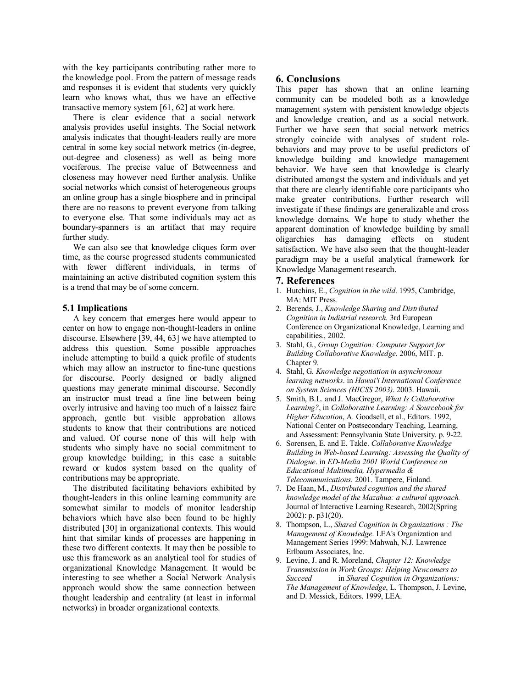with the key participants contributing rather more to the knowledge pool. From the pattern of message reads and responses it is evident that students very quickly learn who knows what, thus we have an effective transactive memory system [61, 62] at work here.

There is clear evidence that a social network analysis provides useful insights. The Social network analysis indicates that thought-leaders really are more central in some key social network metrics (in-degree, out-degree and closeness) as well as being more vociferous. The precise value of Betweenness and closeness may however need further analysis. Unlike social networks which consist of heterogeneous groups an online group has a single biosphere and in principal there are no reasons to prevent everyone from talking to everyone else. That some individuals may act as boundary-spanners is an artifact that may require further study.

We can also see that knowledge cliques form over time, as the course progressed students communicated with fewer different individuals, in terms of maintaining an active distributed cognition system this is a trend that may be of some concern.

### **5.1 Implications**

A key concern that emerges here would appear to center on how to engage non-thought-leaders in online discourse. Elsewhere [39, 44, 63] we have attempted to address this question. Some possible approaches include attempting to build a quick profile of students which may allow an instructor to fine-tune questions for discourse. Poorly designed or badly aligned questions may generate minimal discourse. Secondly an instructor must tread a fine line between being overly intrusive and having too much of a laissez faire approach, gentle but visible approbation allows students to know that their contributions are noticed and valued. Of course none of this will help with students who simply have no social commitment to group knowledge building; in this case a suitable reward or kudos system based on the quality of contributions may be appropriate.

The distributed facilitating behaviors exhibited by thought-leaders in this online learning community are somewhat similar to models of monitor leadership behaviors which have also been found to be highly distributed [30] in organizational contexts. This would hint that similar kinds of processes are happening in these two different contexts. It may then be possible to use this framework as an analytical tool for studies of organizational Knowledge Management. It would be interesting to see whether a Social Network Analysis approach would show the same connection between thought leadership and centrality (at least in informal networks) in broader organizational contexts.

### **6. Conclusions**

This paper has shown that an online learning community can be modeled both as a knowledge management system with persistent knowledge objects and knowledge creation, and as a social network. Further we have seen that social network metrics strongly coincide with analyses of student rolebehaviors and may prove to be useful predictors of knowledge building and knowledge management behavior. We have seen that knowledge is clearly distributed amongst the system and individuals and yet that there are clearly identifiable core participants who make greater contributions. Further research will investigate if these findings are generalizable and cross knowledge domains. We hope to study whether the apparent domination of knowledge building by small oligarchies has damaging effects on student satisfaction. We have also seen that the thought-leader paradigm may be a useful analytical framework for Knowledge Management research.

#### **7. References**

- 1. Hutchins, E., *Cognition in the wild*. 1995, Cambridge, MA: MIT Press.
- 2. Berends, J., *Knowledge Sharing and Distributed Cognition in Indistrial research.* 3rd European Conference on Organizational Knowledge, Learning and capabilities., 2002.
- 3. Stahl, G., *Group Cognition: Computer Support for Building Collaborative Knowledge*. 2006, MIT. p. Chapter 9.
- 4. Stahl, G. *Knowledge negotiation in asynchronous learning networks*. in *Hawai'i International Conference on System Sciences (HICSS 2003)*. 2003. Hawaii.
- 5. Smith, B.L. and J. MacGregor, *What Is Collaborative Learning?*, in *Collaborative Learning: A Sourcebook for Higher Education*, A. Goodsell, et al., Editors. 1992, National Center on Postsecondary Teaching, Learning, and Assessment: Pennsylvania State University. p. 9-22.
- 6. Sorensen, E. and E. Takle. *Collaborative Knowledge Building in Web-based Learning: Assessing the Quality of Dialogue*. in *ED-Media 2001 World Conference on Educational Multimedia, Hypermedia & Telecommunications.* 2001. Tampere, Finland.
- 7. De Haan, M., *Distributed cognition and the shared knowledge model of the Mazahua: a cultural approach.* Journal of Interactive Learning Research, 2002(Spring 2002): p. p31(20).
- 8. Thompson, L., *Shared Cognition in Organizations : The Management of Knowledge*. LEA's Organization and Management Series 1999: Mahwah, N.J. Lawrence Erlbaum Associates, Inc.
- 9. Levine, J. and R. Moreland, *Chapter 12: Knowledge Transmission in Work Groups: Helping Newcomers to Succeed* in *Shared Cognition in Organizations: The Management of Knowledge*, L. Thompson, J. Levine, and D. Messick, Editors. 1999, LEA.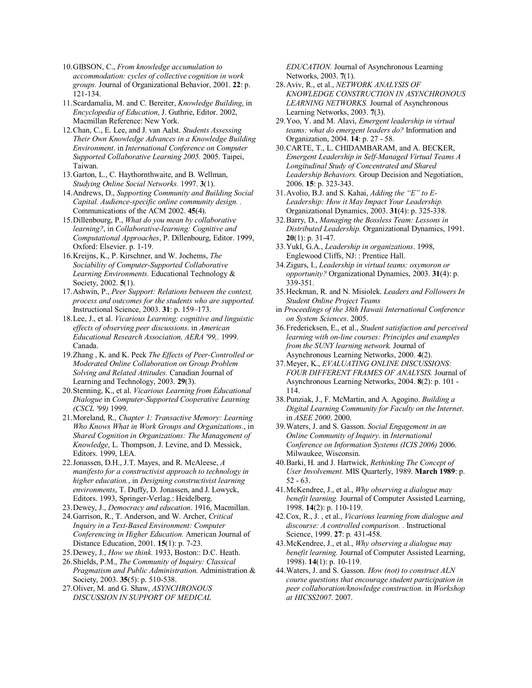10. GIBSON, C., *From knowledge accumulation to accommodation: cycles of collective cognition in work groups.* Journal of Organizational Behavior, 2001. **22**: p. 121-134.

11. Scardamalia, M. and C. Bereiter, *Knowledge Building*, in *Encyclopedia of Education*, J. Guthrie, Editor. 2002, Macmillan Reference: New York.

- 12. Chan, C., E. Lee, and J. van Aalst. *Students Assessing Their Own Knowledge Advances in a Knowledge Building Environment*. in *International Conference on Computer Supported Collaborative Learning 2005.* 2005. Taipei, Taiwan.
- 13. Garton, L., C. Haythornthwaite, and B. Wellman, *Studying Online Social Networks.* 1997. **3**(1).

14. Andrews, D., *Supporting Community and Building Social Capital. Audience-specific online community design. .* Communications of the ACM 2002. **45**(4).

15. Dillenbourg, P., *What do you mean by collaborative learning?*, in *Collaborative-learning: Cognitive and Computational Approaches*, P. Dillenbourg, Editor. 1999, Oxford: Elsevier. p. 1-19.

- 16. Kreijns, K., P. Kirschner, and W. Jochems, *The Sociability of Computer-Supported Collaborative Learning Environments.* Educational Technology & Society, 2002. **5**(1).
- 17. Ashwin, P., *Peer Support: Relations between the context, process and outcomes for the students who are supported.* Instructional Science, 2003. **31**: p. 159–173.
- 18. Lee, J., et al. *Vicarious Learning: cognitive and linguistic effects of observing peer discussions*. in *American Educational Research Association, AERA '99,*. 1999. Canada.
- 19. Zhang , K. and K. Peck *The Effects of Peer-Controlled or Moderated Online Collaboration on Group Problem Solving and Related Attitudes.* Canadian Journal of Learning and Technology, 2003. **29**(3).
- 20. Stenning, K., et al. *Vicarious Learning from Educational Dialogue* in *Computer-Supported Cooperative Learning (CSCL '99)* 1999.
- 21. Moreland, R., *Chapter 1: Transactive Memory: Learning Who Knows What in Work Groups and Organizations.*, in *Shared Cognition in Organizations: The Management of Knowledge*, L. Thompson, J. Levine, and D. Messick, Editors. 1999, LEA.

22. Jonassen, D.H., J.T. Mayes, and R. McAleese, *A manifesto for a constructivist approach to technology in higher education.*, in *Designing constructivist learning environments*, T. Duffy, D. Jonassen, and J. Lowyck, Editors. 1993, Springer-Verlag.: Heidelberg.

- 23. Dewey, J., *Democracy and education*. 1916, Macmillan.
- 24. Garrison, R., T. Anderson, and W. Archer, *Critical Inquiry in a Text-Based Environment: Computer Conferencing in Higher Education.* American Journal of Distance Education, 2001. **15**(1): p. 7-23.
- 25. Dewey, J., *How we think*. 1933, Boston:: D.C. Heath.
- 26. Shields, P.M., *The Community of Inquiry: Classical Pragmatism and Public Administration.* Administration & Society, 2003. **35**(5): p. 510-538.
- 27. Oliver, M. and G. Shaw, *ASYNCHRONOUS DISCUSSION IN SUPPORT OF MEDICAL*

*EDUCATION.* Journal of Asynchronous Learning Networks, 2003. **7**(1).

- 28. Aviv, R., et al., *NETWORK ANALYSIS OF KNOWLEDGE CONSTRUCTION IN ASYNCHRONOUS LEARNING NETWORKS.* Journal of Asynchronous Learning Networks, 2003. **7**(3).
- 29. Yoo, Y. and M. Alavi, *Emergent leadership in virtual teams: what do emergent leaders do?* Information and Organization, 2004. **14**: p. 27 - 58.

30. CARTE, T., L. CHIDAMBARAM, and A. BECKER, *Emergent Leadership in Self-Managed Virtual Teams A Longitudinal Study of Concentrated and Shared Leadership Behaviors.* Group Decision and Negotiation, 2006. **15**: p. 323-343.

- 31. Avolio, B.J. and S. Kahai, *Adding the "E" to E-Leadership: How it May Impact Your Leadership.* Organizational Dynamics, 2003. **31**(4): p. 325-338.
- 32. Barry, D., *Managing the Bossless Team: Lessons in Distributed Leadership.* Organizational Dynamics, 1991. **20**(1): p. 31-47.
- 33. Yukl, G.A., *Leadership in organizations*. 1998, Englewood Cliffs, NJ: : Prentice Hall.
- 34. Zigurs, I., *Leadership in virtual teams: oxymoron or opportunity?* Organizational Dynamics, 2003. **31**(4): p. 339-351.
- 35. Heckman, R. and N. Misiolek. *Leaders and Followers In Student Online Project Teams*
- in *Proceedings of the 38th Hawaii International Conference on System Sciences*. 2005.

36. Fredericksen, E., et al., *Student satisfaction and perceived learning with on-line courses: Principles and examples from the SUNY learning network.* Journal of Asynchronous Learning Networks, 2000. **4**(2).

- 37. Meyer, K., *EVALUATING ONLINE DISCUSSIONS: FOUR DIFFERENT FRAMES OF ANALYSIS.* Journal of Asynchronous Learning Networks, 2004. **8**(2): p. 101 - 114.
- 38. Punziak, J., F. McMartin, and A. Agogino. *Building a Digital Learning Community for Faculty on the Internet*. in *ASEE 2000*. 2000.
- 39. Waters, J. and S. Gasson. *Social Engagement in an Online Community of Inquiry*. in *International Conference on Information Systems (ICIS 2006)* 2006. Milwaukee, Wisconsin.
- 40. Barki, H. and J. Hartwick, *Rethinking The Concept of User Involvement.* MIS Quarterly, 1989. **March 1989**: p. 52 - 63.
- 41. McKendree, J., et al., *Why observing a dialogue may benefit learning.* Journal of Computer Assisted Learning, 1998. **14**(2): p. 110-119.
- 42. Cox, R., J. , et al., *Vicarious learning from dialogue and discourse: A controlled comparison. .* Instructional Science, 1999. **27**: p. 431-458.
- 43. McKendree, J., et al., *Why observing a dialogue may benefit learning.* Journal of Computer Assisted Learning, 1998). **14**(1): p. 10-119.
- 44. Waters, J. and S. Gasson. *How (not) to construct ALN course questions that encourage student participation in peer collaboration/knowledge construction*. in *Workshop at HICSS2007*. 2007.